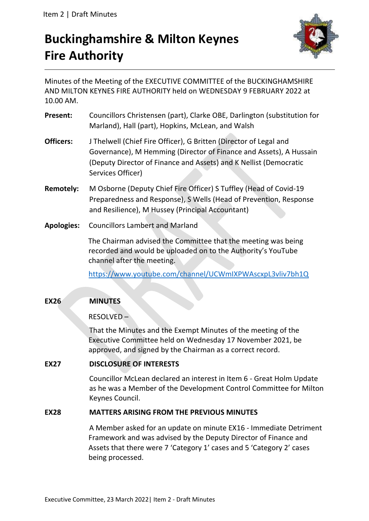Item 2 | Draft Minutes

# **Buckinghamshire & Milton Keynes Fire Authority**



Minutes of the Meeting of the EXECUTIVE COMMITTEE of the BUCKINGHAMSHIRE AND MILTON KEYNES FIRE AUTHORITY held on WEDNESDAY 9 FEBRUARY 2022 at 10.00 AM.

- **Present:** Councillors Christensen (part), Clarke OBE, Darlington (substitution for Marland), Hall (part), Hopkins, McLean, and Walsh
- **Officers:** J Thelwell (Chief Fire Officer), G Britten (Director of Legal and Governance), M Hemming (Director of Finance and Assets), A Hussain (Deputy Director of Finance and Assets) and K Nellist (Democratic Services Officer)
- **Remotely:** M Osborne (Deputy Chief Fire Officer) S Tuffley (Head of Covid-19 Preparedness and Response), S Wells (Head of Prevention, Response and Resilience), M Hussey (Principal Accountant)
- **Apologies:** Councillors Lambert and Marland

The Chairman advised the Committee that the meeting was being recorded and would be uploaded on to the Authority's YouTube channel after the meeting.

<https://www.youtube.com/channel/UCWmIXPWAscxpL3vliv7bh1Q>

# **EX26 MINUTES**

RESOLVED –

That the Minutes and the Exempt Minutes of the meeting of the Executive Committee held on Wednesday 17 November 2021, be approved, and signed by the Chairman as a correct record.

# **EX27 DISCLOSURE OF INTERESTS**

Councillor McLean declared an interest in Item 6 - Great Holm Update as he was a Member of the Development Control Committee for Milton Keynes Council.

# **EX28 MATTERS ARISING FROM THE PREVIOUS MINUTES**

A Member asked for an update on minute EX16 - Immediate Detriment Framework and was advised by the Deputy Director of Finance and Assets that there were 7 'Category 1' cases and 5 'Category 2' cases being processed.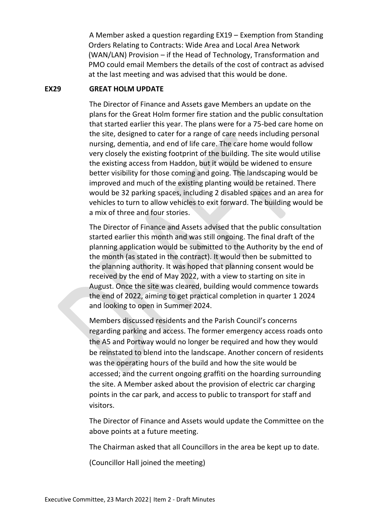A Member asked a question regarding EX19 – Exemption from Standing Orders Relating to Contracts: Wide Area and Local Area Network (WAN/LAN) Provision – if the Head of Technology, Transformation and PMO could email Members the details of the cost of contract as advised at the last meeting and was advised that this would be done.

## **EX29 GREAT HOLM UPDATE**

The Director of Finance and Assets gave Members an update on the plans for the Great Holm former fire station and the public consultation that started earlier this year. The plans were for a 75-bed care home on the site, designed to cater for a range of care needs including personal nursing, dementia, and end of life care. The care home would follow very closely the existing footprint of the building. The site would utilise the existing access from Haddon, but it would be widened to ensure better visibility for those coming and going. The landscaping would be improved and much of the existing planting would be retained. There would be 32 parking spaces, including 2 disabled spaces and an area for vehicles to turn to allow vehicles to exit forward. The building would be a mix of three and four stories.

The Director of Finance and Assets advised that the public consultation started earlier this month and was still ongoing. The final draft of the planning application would be submitted to the Authority by the end of the month (as stated in the contract). It would then be submitted to the planning authority. It was hoped that planning consent would be received by the end of May 2022, with a view to starting on site in August. Once the site was cleared, building would commence towards the end of 2022, aiming to get practical completion in quarter 1 2024 and looking to open in Summer 2024.

Members discussed residents and the Parish Council's concerns regarding parking and access. The former emergency access roads onto the A5 and Portway would no longer be required and how they would be reinstated to blend into the landscape. Another concern of residents was the operating hours of the build and how the site would be accessed; and the current ongoing graffiti on the hoarding surrounding the site. A Member asked about the provision of electric car charging points in the car park, and access to public to transport for staff and visitors.

The Director of Finance and Assets would update the Committee on the above points at a future meeting.

The Chairman asked that all Councillors in the area be kept up to date.

(Councillor Hall joined the meeting)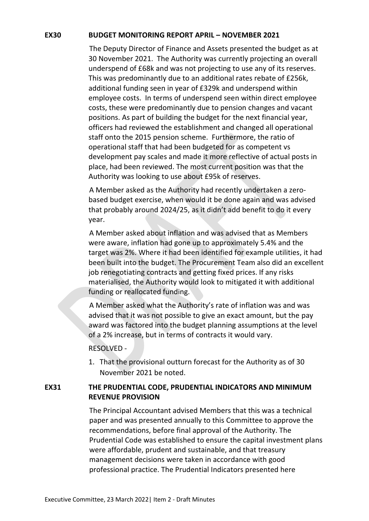## **EX30 BUDGET MONITORING REPORT APRIL – NOVEMBER 2021**

The Deputy Director of Finance and Assets presented the budget as at 30 November 2021. The Authority was currently projecting an overall underspend of £68k and was not projecting to use any of its reserves. This was predominantly due to an additional rates rebate of £256k, additional funding seen in year of £329k and underspend within employee costs. In terms of underspend seen within direct employee costs, these were predominantly due to pension changes and vacant positions. As part of building the budget for the next financial year, officers had reviewed the establishment and changed all operational staff onto the 2015 pension scheme. Furthermore, the ratio of operational staff that had been budgeted for as competent vs development pay scales and made it more reflective of actual posts in place, had been reviewed. The most current position was that the Authority was looking to use about £95k of reserves.

A Member asked as the Authority had recently undertaken a zerobased budget exercise, when would it be done again and was advised that probably around 2024/25, as it didn't add benefit to do it every year.

A Member asked about inflation and was advised that as Members were aware, inflation had gone up to approximately 5.4% and the target was 2%. Where it had been identified for example utilities, it had been built into the budget. The Procurement Team also did an excellent job renegotiating contracts and getting fixed prices. If any risks materialised, the Authority would look to mitigated it with additional funding or reallocated funding.

A Member asked what the Authority's rate of inflation was and was advised that it was not possible to give an exact amount, but the pay award was factored into the budget planning assumptions at the level of a 2% increase, but in terms of contracts it would vary.

#### RESOLVED -

1. That the provisional outturn forecast for the Authority as of 30 November 2021 be noted.

## **EX31 THE PRUDENTIAL CODE, PRUDENTIAL INDICATORS AND MINIMUM REVENUE PROVISION**

The Principal Accountant advised Members that this was a technical paper and was presented annually to this Committee to approve the recommendations, before final approval of the Authority. The Prudential Code was established to ensure the capital investment plans were affordable, prudent and sustainable, and that treasury management decisions were taken in accordance with good professional practice. The Prudential Indicators presented here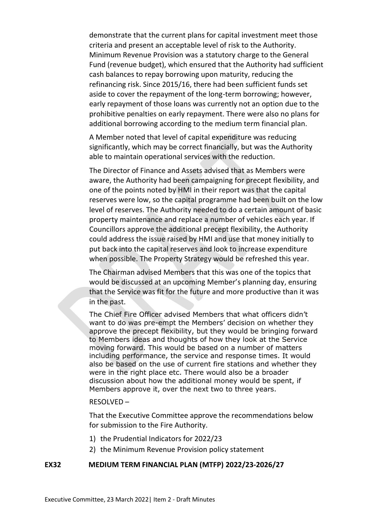demonstrate that the current plans for capital investment meet those criteria and present an acceptable level of risk to the Authority. Minimum Revenue Provision was a statutory charge to the General Fund (revenue budget), which ensured that the Authority had sufficient cash balances to repay borrowing upon maturity, reducing the refinancing risk. Since 2015/16, there had been sufficient funds set aside to cover the repayment of the long-term borrowing; however, early repayment of those loans was currently not an option due to the prohibitive penalties on early repayment. There were also no plans for additional borrowing according to the medium term financial plan.

A Member noted that level of capital expenditure was reducing significantly, which may be correct financially, but was the Authority able to maintain operational services with the reduction.

The Director of Finance and Assets advised that as Members were aware, the Authority had been campaigning for precept flexibility, and one of the points noted by HMI in their report was that the capital reserves were low, so the capital programme had been built on the low level of reserves. The Authority needed to do a certain amount of basic property maintenance and replace a number of vehicles each year. If Councillors approve the additional precept flexibility, the Authority could address the issue raised by HMI and use that money initially to put back into the capital reserves and look to increase expenditure when possible. The Property Strategy would be refreshed this year.

The Chairman advised Members that this was one of the topics that would be discussed at an upcoming Member's planning day, ensuring that the Service was fit for the future and more productive than it was in the past.

The Chief Fire Officer advised Members that what officers didn't want to do was pre-empt the Members' decision on whether they approve the precept flexibility, but they would be bringing forward to Members ideas and thoughts of how they look at the Service moving forward. This would be based on a number of matters including performance, the service and response times. It would also be based on the use of current fire stations and whether they were in the right place etc. There would also be a broader discussion about how the additional money would be spent, if Members approve it, over the next two to three years.

#### RESOLVED –

That the Executive Committee approve the recommendations below for submission to the Fire Authority.

- 1) the Prudential Indicators for 2022/23
- 2) the Minimum Revenue Provision policy statement

## **EX32 MEDIUM TERM FINANCIAL PLAN (MTFP) 2022/23-2026/27**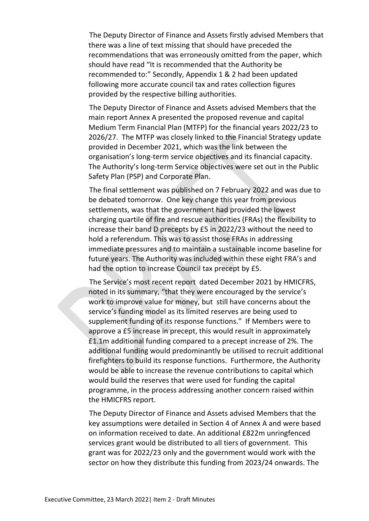The Deputy Director of Finance and Assets firstly advised Members that there was a line of text missing that should have preceded the recommendations that was erroneously omitted from the paper, which should have read "It is recommended that the Authority be recommended to:" Secondly, Appendix 1 & 2 had been updated following more accurate council tax and rates collection figures provided by the respective billing authorities.

The Deputy Director of Finance and Assets advised Members that the main report Annex A presented the proposed revenue and capital Medium Term Financial Plan (MTFP) for the financial years 2022/23 to 2026/27. The MTFP was closely linked to the Financial Strategy update provided in December 2021, which was the link between the organisation's long-term service objectives and its financial capacity. The Authority's long-term Service objectives were set out in the Public Safety Plan (PSP) and Corporate Plan.

The final settlement was published on 7 February 2022 and was due to be debated tomorrow. One key change this year from previous settlements, was that the government had provided the lowest charging quartile of fire and rescue authorities (FRAs) the flexibility to increase their band D precepts by £5 in 2022/23 without the need to hold a referendum. This was to assist those FRAs in addressing immediate pressures and to maintain a sustainable income baseline for future years. The Authority was included within these eight FRA's and had the option to increase Council tax precept by £5.

The Service's most recent report dated December 2021 by HMICFRS, noted in its summary, "that they were encouraged by the service's work to improve value for money, but still have concerns about the service's funding model as its limited [reserves](https://www.justiceinspectorates.gov.uk/hmicfrs/glossary/reserves/) are being used to supplement funding of its response functions." If Members were to approve a £5 increase in precept, this would result in approximately £1.1m additional funding compared to a precept increase of 2%. The additional funding would predominantly be utilised to recruit additional firefighters to build its response functions. Furthermore, the Authority would be able to increase the revenue contributions to capital which would build the reserves that were used for funding the capital programme, in the process addressing another concern raised within the HMICFRS report.

The Deputy Director of Finance and Assets advised Members that the key assumptions were detailed in Section 4 of Annex A and were based on information received to date. An additional £822m unringfenced services grant would be distributed to all tiers of government. This grant was for 2022/23 only and the government would work with the sector on how they distribute this funding from 2023/24 onwards. The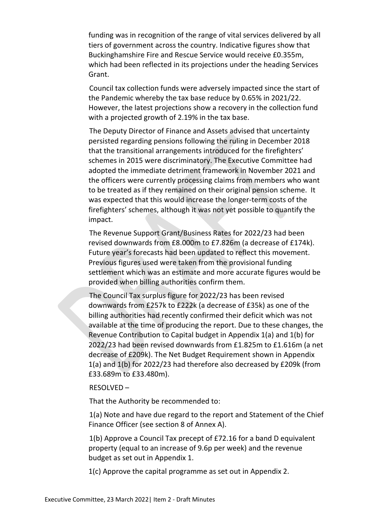funding was in recognition of the range of vital services delivered by all tiers of government across the country. Indicative figures show that Buckinghamshire Fire and Rescue Service would receive £0.355m, which had been reflected in its projections under the heading Services Grant.

Council tax collection funds were adversely impacted since the start of the Pandemic whereby the tax base reduce by 0.65% in 2021/22. However, the latest projections show a recovery in the collection fund with a projected growth of 2.19% in the tax base.

The Deputy Director of Finance and Assets advised that uncertainty persisted regarding pensions following the ruling in December 2018 that the transitional arrangements introduced for the firefighters' schemes in 2015 were discriminatory. The Executive Committee had adopted the immediate detriment framework in November 2021 and the officers were currently processing claims from members who want to be treated as if they remained on their original pension scheme. It was expected that this would increase the longer-term costs of the firefighters' schemes, although it was not yet possible to quantify the impact.

The Revenue Support Grant/Business Rates for 2022/23 had been revised downwards from £8.000m to £7.826m (a decrease of £174k). Future year's forecasts had been updated to reflect this movement. Previous figures used were taken from the provisional funding settlement which was an estimate and more accurate figures would be provided when billing authorities confirm them.

The Council Tax surplus figure for 2022/23 has been revised downwards from £257k to £222k (a decrease of £35k) as one of the billing authorities had recently confirmed their deficit which was not available at the time of producing the report. Due to these changes, the Revenue Contribution to Capital budget in Appendix 1(a) and 1(b) for 2022/23 had been revised downwards from £1.825m to £1.616m (a net decrease of £209k). The Net Budget Requirement shown in Appendix 1(a) and 1(b) for 2022/23 had therefore also decreased by £209k (from £33.689m to £33.480m).

#### RESOLVED –

That the Authority be recommended to:

1(a) Note and have due regard to the report and Statement of the Chief Finance Officer (see section 8 of Annex A).

1(b) Approve a Council Tax precept of £72.16 for a band D equivalent property (equal to an increase of 9.6p per week) and the revenue budget as set out in Appendix 1.

1(c) Approve the capital programme as set out in Appendix 2.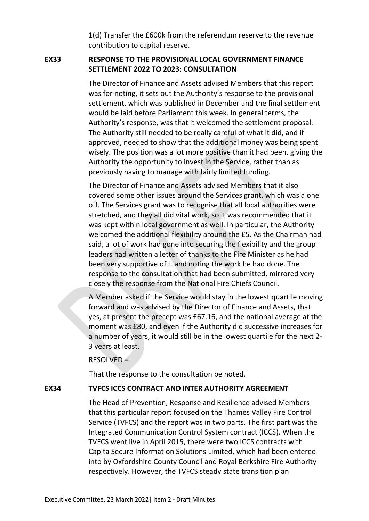1(d) Transfer the £600k from the referendum reserve to the revenue contribution to capital reserve.

# **EX33 RESPONSE TO THE PROVISIONAL LOCAL GOVERNMENT FINANCE SETTLEMENT 2022 TO 2023: CONSULTATION**

The Director of Finance and Assets advised Members that this report was for noting, it sets out the Authority's response to the provisional settlement, which was published in December and the final settlement would be laid before Parliament this week. In general terms, the Authority's response, was that it welcomed the settlement proposal. The Authority still needed to be really careful of what it did, and if approved, needed to show that the additional money was being spent wisely. The position was a lot more positive than it had been, giving the Authority the opportunity to invest in the Service, rather than as previously having to manage with fairly limited funding.

The Director of Finance and Assets advised Members that it also covered some other issues around the Services grant, which was a one off. The Services grant was to recognise that all local authorities were stretched, and they all did vital work, so it was recommended that it was kept within local government as well. In particular, the Authority welcomed the additional flexibility around the £5. As the Chairman had said, a lot of work had gone into securing the flexibility and the group leaders had written a letter of thanks to the Fire Minister as he had been very supportive of it and noting the work he had done. The response to the consultation that had been submitted, mirrored very closely the response from the National Fire Chiefs Council.

A Member asked if the Service would stay in the lowest quartile moving forward and was advised by the Director of Finance and Assets, that yes, at present the precept was £67.16, and the national average at the moment was £80, and even if the Authority did successive increases for a number of years, it would still be in the lowest quartile for the next 2- 3 years at least.

## RESOLVED –

That the response to the consultation be noted.

# **EX34 TVFCS ICCS CONTRACT AND INTER AUTHORITY AGREEMENT**

The Head of Prevention, Response and Resilience advised Members that this particular report focused on the Thames Valley Fire Control Service (TVFCS) and the report was in two parts. The first part was the Integrated Communication Control System contract (ICCS). When the TVFCS went live in April 2015, there were two ICCS contracts with Capita Secure Information Solutions Limited, which had been entered into by Oxfordshire County Council and Royal Berkshire Fire Authority respectively. However, the TVFCS steady state transition plan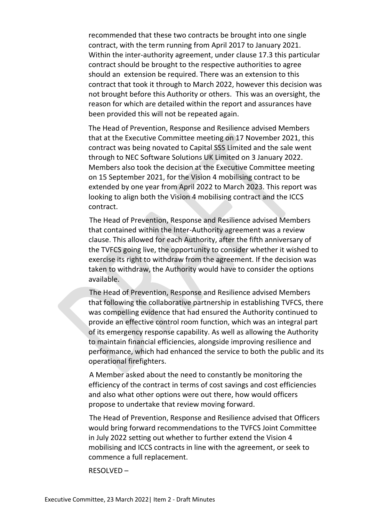recommended that these two contracts be brought into one single contract, with the term running from April 2017 to January 2021. Within the inter-authority agreement, under clause 17.3 this particular contract should be brought to the respective authorities to agree should an extension be required. There was an extension to this contract that took it through to March 2022, however this decision was not brought before this Authority or others. This was an oversight, the reason for which are detailed within the report and assurances have been provided this will not be repeated again.

The Head of Prevention, Response and Resilience advised Members that at the Executive Committee meeting on 17 November 2021, this contract was being novated to Capital SSS Limited and the sale went through to NEC Software Solutions UK Limited on 3 January 2022. Members also took the decision at the Executive Committee meeting on 15 September 2021, for the Vision 4 mobilising contract to be extended by one year from April 2022 to March 2023. This report was looking to align both the Vision 4 mobilising contract and the ICCS contract.

The Head of Prevention, Response and Resilience advised Members that contained within the Inter-Authority agreement was a review clause. This allowed for each Authority, after the fifth anniversary of the TVFCS going live, the opportunity to consider whether it wished to exercise its right to withdraw from the agreement. If the decision was taken to withdraw, the Authority would have to consider the options available.

The Head of Prevention, Response and Resilience advised Members that following the collaborative partnership in establishing TVFCS, there was compelling evidence that had ensured the Authority continued to provide an effective control room function, which was an integral part of its emergency response capability. As well as allowing the Authority to maintain financial efficiencies, alongside improving resilience and performance, which had enhanced the service to both the public and its operational firefighters.

A Member asked about the need to constantly be monitoring the efficiency of the contract in terms of cost savings and cost efficiencies and also what other options were out there, how would officers propose to undertake that review moving forward.

The Head of Prevention, Response and Resilience advised that Officers would bring forward recommendations to the TVFCS Joint Committee in July 2022 setting out whether to further extend the Vision 4 mobilising and ICCS contracts in line with the agreement, or seek to commence a full replacement.

RESOLVED –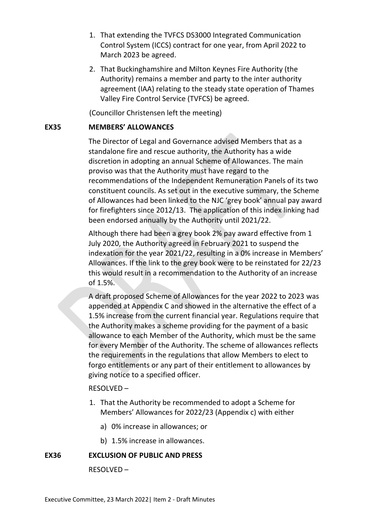- 1. That extending the TVFCS DS3000 Integrated Communication Control System (ICCS) contract for one year, from April 2022 to March 2023 be agreed.
- 2. That Buckinghamshire and Milton Keynes Fire Authority (the Authority) remains a member and party to the inter authority agreement (IAA) relating to the steady state operation of Thames Valley Fire Control Service (TVFCS) be agreed.

(Councillor Christensen left the meeting)

## **EX35 MEMBERS' ALLOWANCES**

The Director of Legal and Governance advised Members that as a standalone fire and rescue authority, the Authority has a wide discretion in adopting an annual Scheme of Allowances. The main proviso was that the Authority must have regard to the recommendations of the Independent Remuneration Panels of its two constituent councils. As set out in the executive summary, the Scheme of Allowances had been linked to the NJC 'grey book' annual pay award for firefighters since 2012/13. The application of this index linking had been endorsed annually by the Authority until 2021/22.

Although there had been a grey book 2% pay award effective from 1 July 2020, the Authority agreed in February 2021 to suspend the indexation for the year 2021/22, resulting in a 0% increase in Members' Allowances. If the link to the grey book were to be reinstated for 22/23 this would result in a recommendation to the Authority of an increase of 1.5%.

A draft proposed Scheme of Allowances for the year 2022 to 2023 was appended at Appendix C and showed in the alternative the effect of a 1.5% increase from the current financial year. Regulations require that the Authority makes a scheme providing for the payment of a basic allowance to each Member of the Authority, which must be the same for every Member of the Authority. The scheme of allowances reflects the requirements in the regulations that allow Members to elect to forgo entitlements or any part of their entitlement to allowances by giving notice to a specified officer.

## RESOLVED –

- 1. That the Authority be recommended to adopt a Scheme for Members' Allowances for 2022/23 (Appendix c) with either
	- a) 0% increase in allowances; or
	- b) 1.5% increase in allowances.

## **EX36 EXCLUSION OF PUBLIC AND PRESS**

RESOLVED –